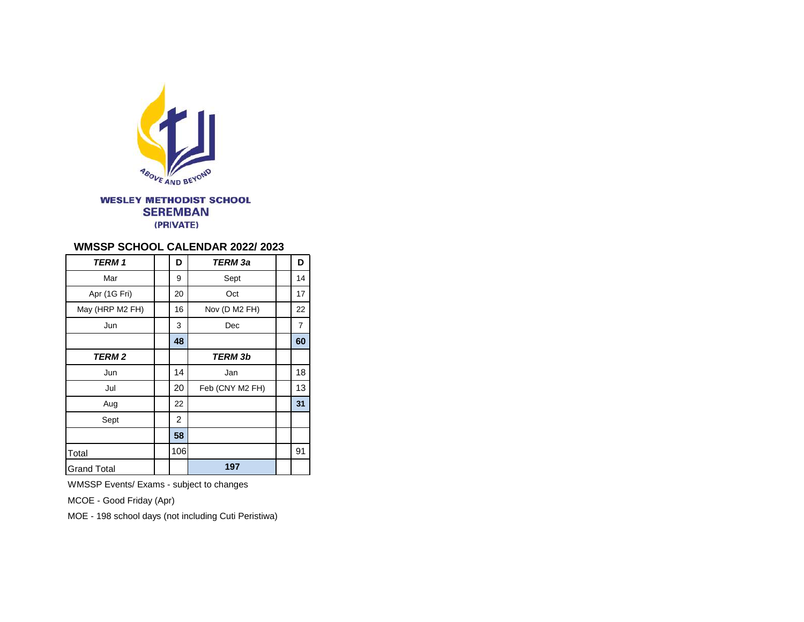

**WESLEY METHODIST SCHOOL SEREMBAN** (PRIVATE)

## **WMSSP SCHOOL CALENDAR 2022/ 2023**

| <b>TERM 1</b>      | D              | <b>TERM</b> 3a  | D  |
|--------------------|----------------|-----------------|----|
| Mar                | 9              | Sept            | 14 |
| Apr (1G Fri)       | 20             | Oct             | 17 |
| May (HRP M2 FH)    | 16             | Nov (D M2 FH)   | 22 |
| Jun                | 3              | Dec             | 7  |
|                    | 48             |                 | 60 |
| TERM 2             |                | TERM 3b         |    |
| Jun                | 14             | Jan             | 18 |
| Jul                | 20             | Feb (CNY M2 FH) | 13 |
| Aug                | 22             |                 | 31 |
| Sept               | $\overline{2}$ |                 |    |
|                    | 58             |                 |    |
| Total              | 106            |                 | 91 |
| <b>Grand Total</b> |                | 197             |    |

WMSSP Events/ Exams - subject to changes

MCOE - Good Friday (Apr)

MOE - 198 school days (not including Cuti Peristiwa)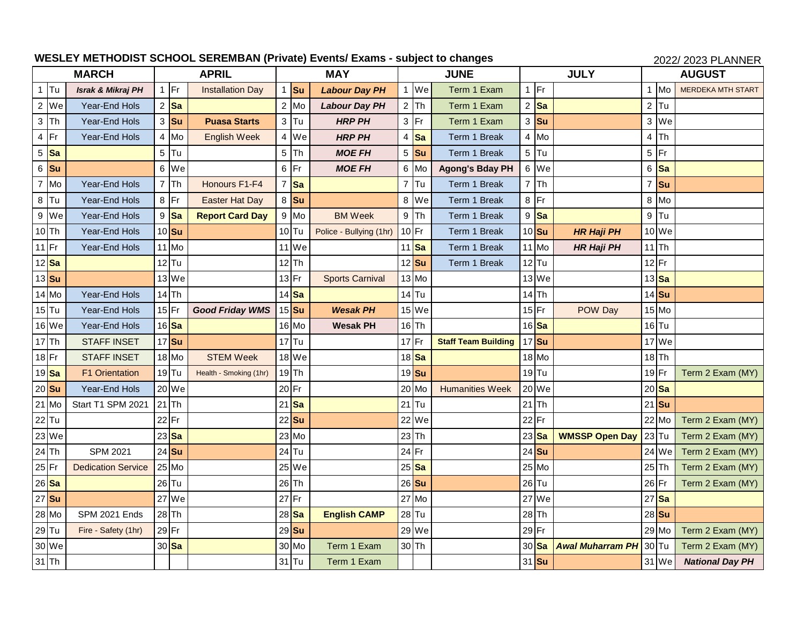## WESLEY METHODIST SCHOOL SEREMBAN (Private) Events/ Exams - subject to changes 2022/ 2022/ 2023 PLANNER

| <b>MARCH</b> |                    | <b>APRIL</b>                 |  | <b>MAY</b>       |                         |                |                  | <b>JUNE</b>             | <b>JULY</b> |                            |                |                  | <b>AUGUST</b>         |                |           |                          |
|--------------|--------------------|------------------------------|--|------------------|-------------------------|----------------|------------------|-------------------------|-------------|----------------------------|----------------|------------------|-----------------------|----------------|-----------|--------------------------|
|              | <b>Tu</b>          | <b>Israk &amp; Mikraj PH</b> |  | $1$  Fr          | <b>Installation Day</b> | $\overline{1}$ | <b>Su</b>        | <b>Labour Day PH</b>    | 1 We        | Term 1 Exam                | 1              | Fr               |                       |                | Mo        | <b>MERDEKA MTH START</b> |
|              | 2 We               | Year-End Hols                |  | 2 Sa             |                         |                | $2$ Mo           | <b>Labour Day PH</b>    | $2$ Th      | Term 1 Exam                |                | $2$ Sa           |                       |                | $2$ Tu    |                          |
|              | $3$ Th             | Year-End Hols                |  | $3$ Su           | <b>Puasa Starts</b>     |                | $3$ Tu           | <b>HRP PH</b>           | $3$ Fr      | Term 1 Exam                | 3              | <b>Su</b>        |                       |                | 3 We      |                          |
| 4            | Fr                 | Year-End Hols                |  | 4 Mo             | <b>English Week</b>     |                | 4 We             | <b>HRP PH</b>           | $4$ Sa      | Term 1 Break               | 4              | Mo               |                       | $\overline{4}$ | <b>Th</b> |                          |
|              | $5 $ Sa            |                              |  | $5$ Tu           |                         |                | $5$ Th           | <b>MOE FH</b>           | $5$ Su      | Term 1 Break               |                | $5$ Tu           |                       |                | $5$ Fr    |                          |
|              | $6$ Su             |                              |  | 6 We             |                         |                | $6$ Fr           | <b>MOE FH</b>           | 6 Mo        | <b>Agong's Bday PH</b>     | 6              | We               |                       | 6              | <b>Sa</b> |                          |
|              | 7 Mo               | Year-End Hols                |  | $7$ Th           | Honours F1-F4           | $\overline{7}$ | <b>Sa</b>        |                         | $7$ Tu      | Term 1 Break               | $\overline{7}$ | <b>Th</b>        |                       | $\overline{7}$ | Su        |                          |
|              | $8$ Tu             | <b>Year-End Hols</b>         |  | $8$ Fr           | <b>Easter Hat Day</b>   |                | 8 Su             |                         | 8 We        | Term 1 Break               | 8              | Fr               |                       |                | 8 Mo      |                          |
|              | 9 We               | Year-End Hols                |  | 9 Sa             | <b>Report Card Day</b>  |                | 9 Mo             | <b>BM Week</b>          | $9$ Th      | Term 1 Break               | 9              | <b>Sa</b>        |                       |                | $9$ Tu    |                          |
|              | $10$ Th            | Year-End Hols                |  | 10 Su            |                         |                | $10$ Tu          | Police - Bullying (1hr) | $10$ Fr     | Term 1 Break               |                | $10$ Su          | <b>HR Haji PH</b>     |                | 10 We     |                          |
| $11$ Fr      |                    | Year-End Hols                |  | 11 Mo            |                         |                | 11 We            |                         | $11$ Sa     | Term 1 Break               |                | 11 Mo            | <b>HR Haji PH</b>     |                | $11$ Th   |                          |
|              | 12 <sup>Sa</sup>   |                              |  | $12$ Tu          |                         |                | $12$ Th          |                         | $12$ Su     | Term 1 Break               |                | $12$ Tu          |                       |                | $12$ Fr   |                          |
|              | $13$ Su            |                              |  | 13 We            |                         |                | $13$ Fr          | <b>Sports Carnival</b>  | 13 Mo       |                            |                | 13 We            |                       |                | $13$ Sa   |                          |
|              | 14 Mo              | Year-End Hols                |  | $14$ Th          |                         |                | 14 <sup>Sa</sup> |                         | $14$ Tu     |                            |                | $14$ Th          |                       |                | 14 Su     |                          |
|              | $15$ Tu            | Year-End Hols                |  | $15$ Fr          | <b>Good Friday WMS</b>  |                | $15$ Su          | <b>Wesak PH</b>         | 15 We       |                            |                | $15$ Fr          | POW Day               |                | 15 Mo     |                          |
|              | 16 We              | Year-End Hols                |  | 16 <sup>Sa</sup> |                         |                | 16 Mo            | <b>Wesak PH</b>         | $16$ Th     |                            |                | 16 <sup>Sa</sup> |                       |                | $16$ Tu   |                          |
|              | $17$ Th            | <b>STAFF INSET</b>           |  | $17$ Su          |                         |                | $17$ Tu          |                         | $17$ Fr     | <b>Staff Team Building</b> |                | $17$ Su          |                       |                | 17 We     |                          |
|              | $18$ Fr            | <b>STAFF INSET</b>           |  | 18 Mo            | <b>STEM Week</b>        |                | 18 We            |                         | $18$ Sa     |                            |                | 18 Mo            |                       |                | $18$ Th   |                          |
|              | 19 <mark>Sa</mark> | <b>F1 Orientation</b>        |  | $19$ $Tu$        | Health - Smoking (1hr)  |                | $19$ Th          |                         | $19$ Su     |                            |                | $19$ Tu          |                       | $19$ Fr        |           | Term 2 Exam (MY)         |
|              | $20$ Su            | Year-End Hols                |  | 20 We            |                         | $20$ Fr        |                  |                         | 20 Mo       | <b>Humanities Week</b>     |                | 20 We            |                       |                | $20$ Sa   |                          |
|              | 21 Mo              | Start T1 SPM 2021            |  | $21$ Th          |                         |                | $21$ Sa          |                         | $21$ Tu     |                            | 21             | lTh              |                       |                | $21$ Su   |                          |
|              | 22 Tu              |                              |  | 22 Fr            |                         |                | $22$ Su          |                         | 22 We       |                            |                | $22$ Fr          |                       |                | 22 Mo     | Term 2 Exam (MY)         |
|              | 23 We              |                              |  | $23$ Sa          |                         |                | 23 Mo            |                         | $23$ Th     |                            |                | $23$ Sa          | <b>WMSSP Open Day</b> | $23$ Tu        |           | Term 2 Exam (MY)         |
|              | $24$ Th            | <b>SPM 2021</b>              |  | $24$ Su          |                         |                | $24$ Tu          |                         | $24$ Fr     |                            |                | $24$ Su          |                       |                | 24 We     | Term 2 Exam (MY)         |
| $ 25 $ Fr    |                    | <b>Dedication Service</b>    |  | 25 Mo            |                         |                | 25 We            |                         | $25$ Sa     |                            |                | $25$ Mo          |                       | $25$ Th        |           | Term 2 Exam (MY)         |
|              | 26 Sa              |                              |  | $26$ Tu          |                         |                | $26$ Th          |                         | $26$ Su     |                            |                | $26$ Tu          |                       | $26$ Fr        |           | Term 2 Exam (MY)         |
|              | 27 Su              |                              |  | 27 We            |                         | $27$ Fr        |                  |                         | 27 Mo       |                            | 27             | We               |                       |                | $27$ Sa   |                          |
|              | 28 Mo              | SPM 2021 Ends                |  | $28$ Th          |                         |                | $28$ Sa          | <b>English CAMP</b>     | $28$ Tu     |                            |                | $28$ Th          |                       |                | 28 Su     |                          |
|              | 29 Tu              | Fire - Safety (1hr)          |  | $29$ Fr          |                         |                | $29$ Su          |                         | 29 We       |                            |                | 29 Fr            |                       |                | 29 Mo     | Term 2 Exam (MY)         |
|              | 30 We              |                              |  | 30 <sup>Sa</sup> |                         |                | 30 Mo            | Term 1 Exam             | $30$ Th     |                            |                | $30$ Sa          | Awal Muharram PH      | $30$ Tu        |           | Term 2 Exam (MY)         |
|              | $31$ Th            |                              |  |                  |                         |                | $31$ Tu          | Term 1 Exam             |             |                            |                | 31 Su            |                       |                | 31 We     | <b>National Day PH</b>   |